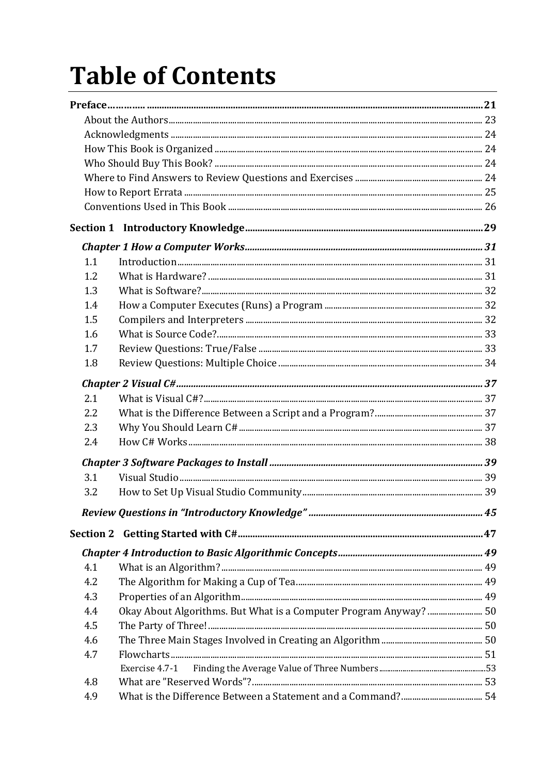## **Table of Contents**

| 1.1 |                                                                   |  |
|-----|-------------------------------------------------------------------|--|
| 1.2 |                                                                   |  |
| 1.3 |                                                                   |  |
| 1.4 |                                                                   |  |
| 1.5 |                                                                   |  |
| 1.6 |                                                                   |  |
| 1.7 |                                                                   |  |
| 1.8 |                                                                   |  |
|     |                                                                   |  |
| 2.1 |                                                                   |  |
| 2.2 |                                                                   |  |
| 2.3 |                                                                   |  |
| 2.4 |                                                                   |  |
|     |                                                                   |  |
| 3.1 |                                                                   |  |
| 3.2 |                                                                   |  |
|     |                                                                   |  |
|     |                                                                   |  |
|     |                                                                   |  |
| 4.1 |                                                                   |  |
| 4.2 |                                                                   |  |
| 4.3 |                                                                   |  |
| 4.4 | Okay About Algorithms. But What is a Computer Program Anyway?  50 |  |
| 4.5 |                                                                   |  |
| 4.6 |                                                                   |  |
| 4.7 |                                                                   |  |
|     | Exercise 4.7-1                                                    |  |
| 4.8 |                                                                   |  |
| 4.9 |                                                                   |  |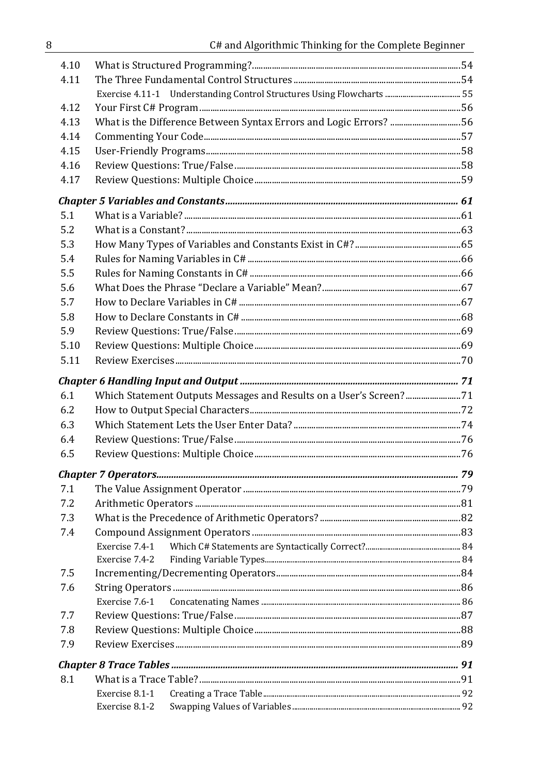| 4.10 |                                                                    |  |
|------|--------------------------------------------------------------------|--|
| 4.11 |                                                                    |  |
|      |                                                                    |  |
| 4.12 |                                                                    |  |
| 4.13 | What is the Difference Between Syntax Errors and Logic Errors? 56  |  |
| 4.14 |                                                                    |  |
| 4.15 |                                                                    |  |
| 4.16 |                                                                    |  |
| 4.17 |                                                                    |  |
|      |                                                                    |  |
| 5.1  |                                                                    |  |
| 5.2  |                                                                    |  |
| 5.3  |                                                                    |  |
| 5.4  |                                                                    |  |
| 5.5  |                                                                    |  |
| 5.6  |                                                                    |  |
| 5.7  |                                                                    |  |
| 5.8  |                                                                    |  |
| 5.9  |                                                                    |  |
| 5.10 |                                                                    |  |
| 5.11 |                                                                    |  |
|      |                                                                    |  |
| 6.1  | Which Statement Outputs Messages and Results on a User's Screen?71 |  |
| 6.2  |                                                                    |  |
| 6.3  |                                                                    |  |
| 6.4  |                                                                    |  |
| 6.5  |                                                                    |  |
|      |                                                                    |  |
| 7.1  |                                                                    |  |
| 7.2  |                                                                    |  |
| 7.3  |                                                                    |  |
| 7.4  |                                                                    |  |
|      | Exercise 7.4-1                                                     |  |
|      | Exercise 7.4-2                                                     |  |
| 7.5  |                                                                    |  |
| 7.6  |                                                                    |  |
|      | Exercise 7.6-1                                                     |  |
| 7.7  |                                                                    |  |
| 7.8  |                                                                    |  |
| 7.9  |                                                                    |  |
|      |                                                                    |  |
| 8.1  |                                                                    |  |
|      | Exercise 8.1-1                                                     |  |
|      | Exercise 8.1-2                                                     |  |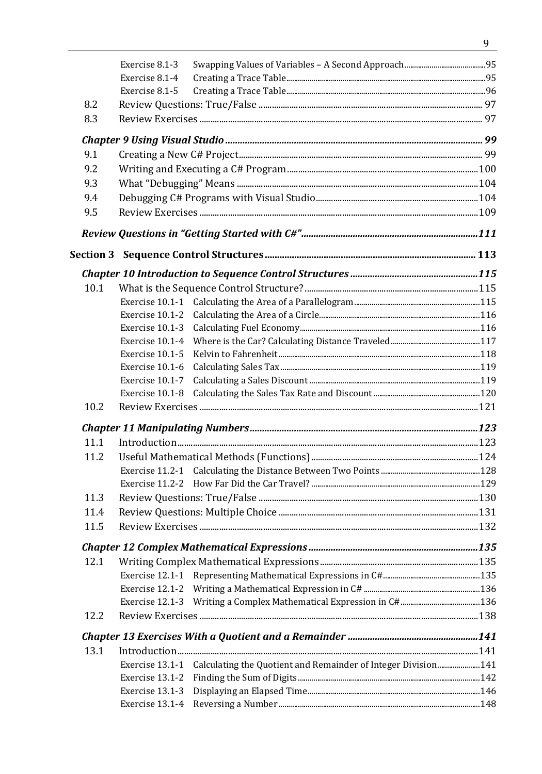|      | Exercise 8.1-3  |                                                                               |  |
|------|-----------------|-------------------------------------------------------------------------------|--|
|      | Exercise 8.1-4  |                                                                               |  |
|      | Exercise 8.1-5  |                                                                               |  |
| 8.2  |                 |                                                                               |  |
| 8.3  |                 |                                                                               |  |
|      |                 |                                                                               |  |
| 9.1  |                 |                                                                               |  |
| 9.2  |                 |                                                                               |  |
| 9.3  |                 |                                                                               |  |
| 9.4  |                 |                                                                               |  |
| 9.5  |                 |                                                                               |  |
|      |                 |                                                                               |  |
|      |                 |                                                                               |  |
|      |                 |                                                                               |  |
| 10.1 |                 |                                                                               |  |
|      | Exercise 10.1-1 |                                                                               |  |
|      | Exercise 10.1-2 |                                                                               |  |
|      | Exercise 10.1-3 |                                                                               |  |
|      | Exercise 10.1-4 |                                                                               |  |
|      | Exercise 10.1-5 |                                                                               |  |
|      | Exercise 10.1-6 |                                                                               |  |
|      | Exercise 10.1-7 |                                                                               |  |
|      | Exercise 10.1-8 |                                                                               |  |
| 10.2 |                 |                                                                               |  |
|      |                 |                                                                               |  |
| 11.1 |                 |                                                                               |  |
| 11.2 |                 |                                                                               |  |
|      |                 |                                                                               |  |
|      |                 |                                                                               |  |
| 11.3 |                 |                                                                               |  |
| 11.4 |                 |                                                                               |  |
| 11.5 |                 |                                                                               |  |
|      |                 |                                                                               |  |
| 12.1 |                 |                                                                               |  |
|      |                 |                                                                               |  |
|      |                 |                                                                               |  |
|      |                 |                                                                               |  |
| 12.2 |                 |                                                                               |  |
|      |                 |                                                                               |  |
| 13.1 |                 |                                                                               |  |
|      |                 | Exercise 13.1-1 Calculating the Quotient and Remainder of Integer Division141 |  |
|      | Exercise 13.1-2 |                                                                               |  |
|      | Exercise 13.1-3 |                                                                               |  |
|      | Exercise 13.1-4 |                                                                               |  |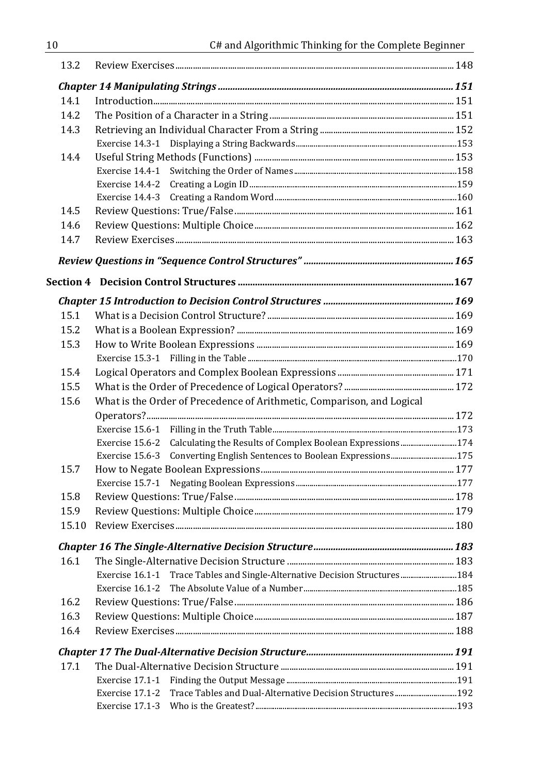| 13.2  |                                                                             |  |
|-------|-----------------------------------------------------------------------------|--|
|       |                                                                             |  |
| 14.1  |                                                                             |  |
| 14.2  |                                                                             |  |
| 14.3  |                                                                             |  |
|       |                                                                             |  |
| 14.4  |                                                                             |  |
|       |                                                                             |  |
|       |                                                                             |  |
|       |                                                                             |  |
| 14.5  |                                                                             |  |
| 14.6  |                                                                             |  |
| 14.7  |                                                                             |  |
|       |                                                                             |  |
|       |                                                                             |  |
|       |                                                                             |  |
| 15.1  |                                                                             |  |
| 15.2  |                                                                             |  |
| 15.3  |                                                                             |  |
|       |                                                                             |  |
| 15.4  |                                                                             |  |
| 15.5  |                                                                             |  |
| 15.6  | What is the Order of Precedence of Arithmetic, Comparison, and Logical      |  |
|       |                                                                             |  |
|       | Exercise 15.6-2 Calculating the Results of Complex Boolean Expressions174   |  |
|       | Exercise 15.6-3 Converting English Sentences to Boolean Expressions175      |  |
| 15.7  |                                                                             |  |
|       |                                                                             |  |
| 15.8  |                                                                             |  |
| 15.9  |                                                                             |  |
| 15.10 |                                                                             |  |
|       |                                                                             |  |
| 16.1  |                                                                             |  |
|       | Exercise 16.1-1 Trace Tables and Single-Alternative Decision Structures 184 |  |
|       |                                                                             |  |
| 16.2  |                                                                             |  |
| 16.3  |                                                                             |  |
| 16.4  |                                                                             |  |
|       |                                                                             |  |
| 17.1  |                                                                             |  |
|       |                                                                             |  |
|       |                                                                             |  |
|       |                                                                             |  |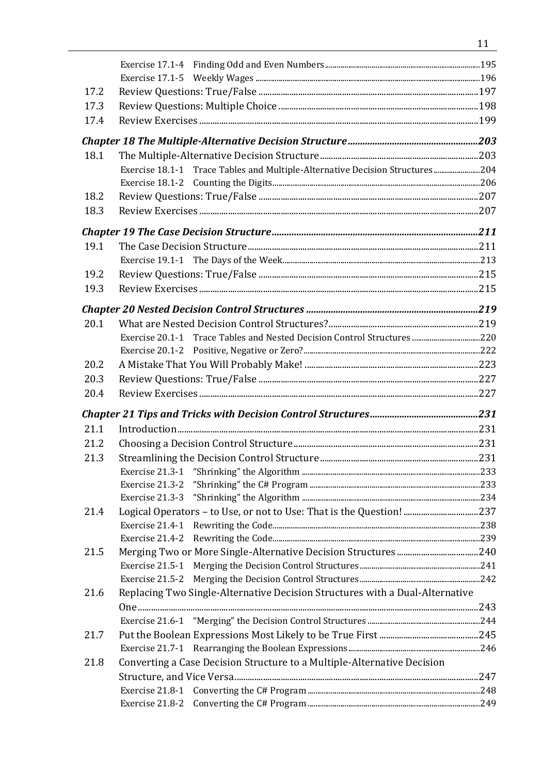| 17.2 |                                                                              |  |
|------|------------------------------------------------------------------------------|--|
| 17.3 |                                                                              |  |
| 17.4 |                                                                              |  |
|      |                                                                              |  |
| 18.1 |                                                                              |  |
|      | Exercise 18.1-1 Trace Tables and Multiple-Alternative Decision Structures204 |  |
|      |                                                                              |  |
| 18.2 |                                                                              |  |
| 18.3 |                                                                              |  |
|      |                                                                              |  |
| 19.1 |                                                                              |  |
|      |                                                                              |  |
| 19.2 |                                                                              |  |
| 19.3 |                                                                              |  |
|      |                                                                              |  |
| 20.1 |                                                                              |  |
|      |                                                                              |  |
|      |                                                                              |  |
| 20.2 |                                                                              |  |
| 20.3 |                                                                              |  |
| 20.4 |                                                                              |  |
|      |                                                                              |  |
| 21.1 |                                                                              |  |
| 21.2 |                                                                              |  |
| 21.3 |                                                                              |  |
|      |                                                                              |  |
|      |                                                                              |  |
|      |                                                                              |  |
| 21.4 |                                                                              |  |
|      |                                                                              |  |
|      |                                                                              |  |
| 21.5 |                                                                              |  |
|      |                                                                              |  |
|      | Exercise 21.5-2                                                              |  |
| 21.6 | Replacing Two Single-Alternative Decision Structures with a Dual-Alternative |  |
|      |                                                                              |  |
|      |                                                                              |  |
| 21.7 |                                                                              |  |
|      |                                                                              |  |
| 21.8 | Converting a Case Decision Structure to a Multiple-Alternative Decision      |  |
|      |                                                                              |  |
|      | Exercise 21.8-1                                                              |  |
|      | Exercise 21.8-2                                                              |  |

11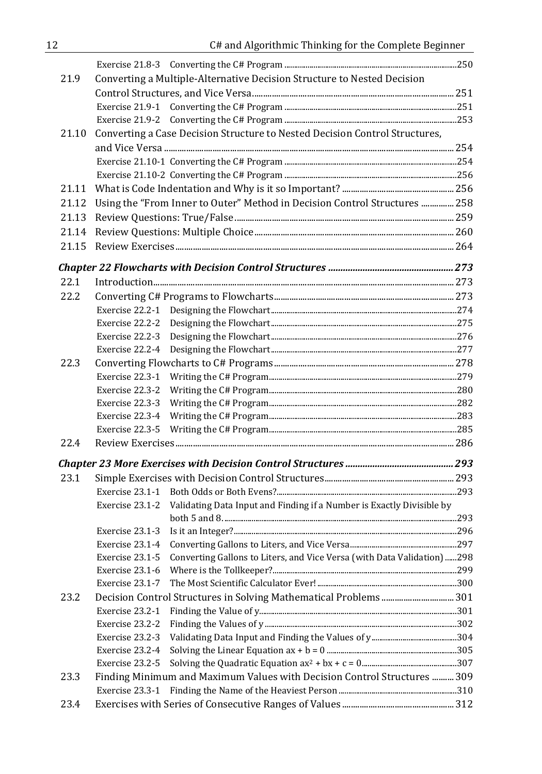| 12   | C# and Algorithmic Thinking for the Complete Beginner                                       |     |  |
|------|---------------------------------------------------------------------------------------------|-----|--|
|      |                                                                                             |     |  |
| 21.9 | Converting a Multiple-Alternative Decision Structure to Nested Decision                     |     |  |
|      |                                                                                             |     |  |
|      |                                                                                             |     |  |
|      |                                                                                             |     |  |
|      | 21.10 Converting a Case Decision Structure to Nested Decision Control Structures,           |     |  |
|      |                                                                                             |     |  |
|      |                                                                                             |     |  |
|      |                                                                                             |     |  |
|      |                                                                                             |     |  |
|      | 21.12 Using the "From Inner to Outer" Method in Decision Control Structures  258            |     |  |
|      |                                                                                             |     |  |
|      |                                                                                             |     |  |
|      |                                                                                             |     |  |
|      |                                                                                             |     |  |
|      |                                                                                             |     |  |
| 22.1 |                                                                                             |     |  |
| 22.2 |                                                                                             |     |  |
|      |                                                                                             |     |  |
|      | Exercise 22.2-2                                                                             |     |  |
|      | Exercise 22.2-3                                                                             |     |  |
|      | Exercise 22.2-4                                                                             |     |  |
| 22.3 |                                                                                             |     |  |
|      |                                                                                             |     |  |
|      |                                                                                             |     |  |
|      | Exercise 22.3-3                                                                             |     |  |
|      |                                                                                             |     |  |
| 22.4 |                                                                                             |     |  |
|      |                                                                                             |     |  |
|      |                                                                                             |     |  |
| 23.1 |                                                                                             |     |  |
|      |                                                                                             |     |  |
|      | Exercise 23.1-2 Validating Data Input and Finding if a Number is Exactly Divisible by       |     |  |
|      | hoth 5 and 8                                                                                | 293 |  |
|      | Exercise 23.1-3                                                                             |     |  |
|      | Exercise 23.1-4                                                                             |     |  |
|      | Converting Gallons to Liters, and Vice Versa (with Data Validation)  298<br>Exercise 23.1-5 |     |  |
|      | Exercise 23.1-6                                                                             |     |  |
|      | Exercise 23.1-7                                                                             |     |  |
| 23.2 | Exercise 23.2-1                                                                             |     |  |
|      | Exercise 23.2-2                                                                             |     |  |
|      | Exercise 23.2-3                                                                             |     |  |
|      | Exercise 23.2-4                                                                             |     |  |
|      | Exercise 23.2-5                                                                             |     |  |
| 23.3 | Finding Minimum and Maximum Values with Decision Control Structures  309                    |     |  |
|      | Exercise 23.3-1                                                                             |     |  |
| 23.4 |                                                                                             |     |  |
|      |                                                                                             |     |  |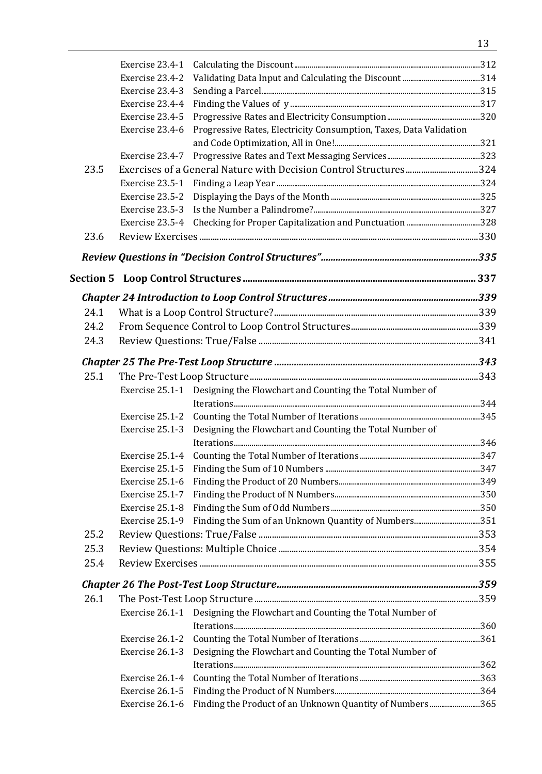|      | Exercise 23.4-1 |                                                                          |     |
|------|-----------------|--------------------------------------------------------------------------|-----|
|      | Exercise 23.4-2 |                                                                          |     |
|      | Exercise 23.4-3 |                                                                          |     |
|      | Exercise 23.4-4 |                                                                          |     |
|      | Exercise 23.4-5 |                                                                          |     |
|      | Exercise 23.4-6 | Progressive Rates, Electricity Consumption, Taxes, Data Validation       |     |
|      |                 |                                                                          |     |
|      | Exercise 23.4-7 |                                                                          |     |
| 23.5 |                 | Exercises of a General Nature with Decision Control Structures324        |     |
|      |                 |                                                                          |     |
|      |                 |                                                                          |     |
|      |                 |                                                                          |     |
|      |                 |                                                                          |     |
| 23.6 |                 |                                                                          |     |
|      |                 |                                                                          |     |
|      |                 |                                                                          |     |
|      |                 |                                                                          |     |
| 24.1 |                 |                                                                          |     |
| 24.2 |                 |                                                                          |     |
| 24.3 |                 |                                                                          |     |
|      |                 |                                                                          |     |
| 25.1 |                 |                                                                          |     |
|      |                 | Exercise 25.1-1 Designing the Flowchart and Counting the Total Number of |     |
|      |                 |                                                                          |     |
|      |                 |                                                                          |     |
|      | Exercise 25.1-3 | Designing the Flowchart and Counting the Total Number of                 |     |
|      |                 |                                                                          |     |
|      | Exercise 25.1-4 |                                                                          |     |
|      | Exercise 25.1-5 |                                                                          |     |
|      | Exercise 25.1-6 |                                                                          |     |
|      | Exercise 25.1-7 |                                                                          |     |
|      | Exercise 25.1-8 |                                                                          |     |
|      | Exercise 25.1-9 |                                                                          |     |
| 25.2 |                 | Review Questions: True/False                                             | 353 |
| 25.3 |                 |                                                                          |     |
| 25.4 |                 |                                                                          |     |
|      |                 |                                                                          |     |
| 26.1 |                 |                                                                          |     |
|      | Exercise 26.1-1 | Designing the Flowchart and Counting the Total Number of                 |     |
|      |                 |                                                                          |     |
|      | Exercise 26.1-2 |                                                                          |     |
|      | Exercise 26.1-3 | Designing the Flowchart and Counting the Total Number of                 |     |
|      |                 |                                                                          |     |
|      | Exercise 26.1-4 |                                                                          |     |
|      | Exercise 26.1-5 |                                                                          |     |
|      | Exercise 26.1-6 | Finding the Product of an Unknown Quantity of Numbers365                 |     |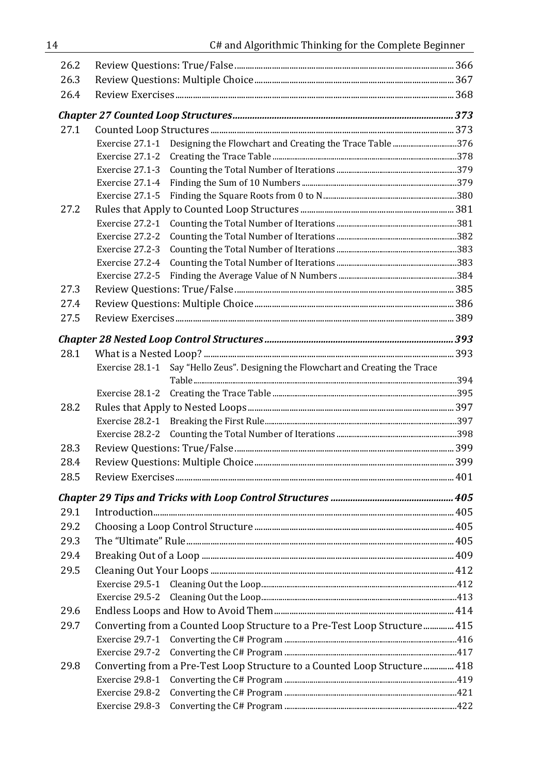| 26.2 |                                                                                     |  |  |  |
|------|-------------------------------------------------------------------------------------|--|--|--|
| 26.3 |                                                                                     |  |  |  |
| 26.4 |                                                                                     |  |  |  |
|      |                                                                                     |  |  |  |
| 27.1 |                                                                                     |  |  |  |
|      | Exercise 27.1-1 Designing the Flowchart and Creating the Trace Table 376            |  |  |  |
|      | Exercise 27.1-2                                                                     |  |  |  |
|      | Exercise 27.1-3                                                                     |  |  |  |
|      | Exercise 27.1-4                                                                     |  |  |  |
|      | Exercise 27.1-5                                                                     |  |  |  |
| 27.2 |                                                                                     |  |  |  |
|      | Exercise 27.2-1                                                                     |  |  |  |
|      | Exercise 27.2-2                                                                     |  |  |  |
|      | Exercise 27.2-3                                                                     |  |  |  |
|      | Exercise 27.2-4                                                                     |  |  |  |
|      | Exercise 27.2-5                                                                     |  |  |  |
| 27.3 |                                                                                     |  |  |  |
| 27.4 |                                                                                     |  |  |  |
| 27.5 |                                                                                     |  |  |  |
|      |                                                                                     |  |  |  |
| 28.1 |                                                                                     |  |  |  |
|      | Say "Hello Zeus". Designing the Flowchart and Creating the Trace<br>Exercise 28.1-1 |  |  |  |
|      |                                                                                     |  |  |  |
|      |                                                                                     |  |  |  |
| 28.2 |                                                                                     |  |  |  |
|      |                                                                                     |  |  |  |
|      |                                                                                     |  |  |  |
| 28.3 |                                                                                     |  |  |  |
| 28.4 |                                                                                     |  |  |  |
| 28.5 |                                                                                     |  |  |  |
|      |                                                                                     |  |  |  |
| 29.1 |                                                                                     |  |  |  |
| 29.2 |                                                                                     |  |  |  |
| 29.3 |                                                                                     |  |  |  |
| 29.4 |                                                                                     |  |  |  |
| 29.5 |                                                                                     |  |  |  |
|      |                                                                                     |  |  |  |
|      |                                                                                     |  |  |  |
| 29.6 |                                                                                     |  |  |  |
| 29.7 | Converting from a Counted Loop Structure to a Pre-Test Loop Structure 415           |  |  |  |
|      |                                                                                     |  |  |  |
|      |                                                                                     |  |  |  |
| 29.8 | Converting from a Pre-Test Loop Structure to a Counted Loop Structure 418           |  |  |  |
|      | Exercise 29.8-1                                                                     |  |  |  |
|      | Exercise 29.8-2                                                                     |  |  |  |
|      | Exercise 29.8-3                                                                     |  |  |  |
|      |                                                                                     |  |  |  |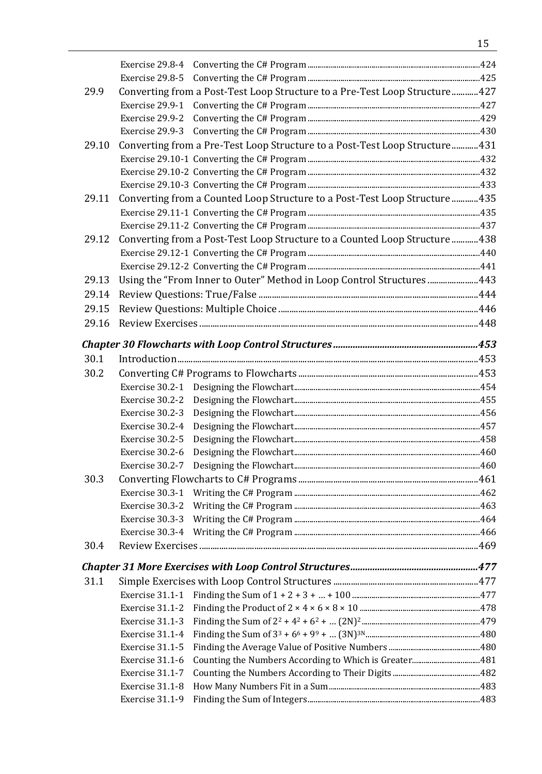| 29.9  |                 | Converting from a Post-Test Loop Structure to a Pre-Test Loop Structure 427 |  |
|-------|-----------------|-----------------------------------------------------------------------------|--|
|       | Exercise 29.9-1 |                                                                             |  |
|       | Exercise 29.9-2 |                                                                             |  |
|       |                 |                                                                             |  |
| 29.10 |                 | Converting from a Pre-Test Loop Structure to a Post-Test Loop Structure431  |  |
|       |                 |                                                                             |  |
|       |                 |                                                                             |  |
|       |                 |                                                                             |  |
| 29.11 |                 | Converting from a Counted Loop Structure to a Post-Test Loop Structure 435  |  |
|       |                 |                                                                             |  |
|       |                 |                                                                             |  |
| 29.12 |                 | Converting from a Post-Test Loop Structure to a Counted Loop Structure  438 |  |
|       |                 |                                                                             |  |
|       |                 |                                                                             |  |
| 29.13 |                 | Using the "From Inner to Outer" Method in Loop Control Structures  443      |  |
| 29.14 |                 |                                                                             |  |
| 29.15 |                 |                                                                             |  |
| 29.16 |                 |                                                                             |  |
|       |                 |                                                                             |  |
| 30.1  |                 |                                                                             |  |
| 30.2  |                 |                                                                             |  |
|       | Exercise 30.2-1 |                                                                             |  |
|       | Exercise 30.2-2 |                                                                             |  |
|       | Exercise 30.2-3 |                                                                             |  |
|       | Exercise 30.2-4 |                                                                             |  |
|       | Exercise 30.2-5 |                                                                             |  |
|       | Exercise 30.2-6 |                                                                             |  |
|       | Exercise 30.2-7 |                                                                             |  |
| 30.3  |                 |                                                                             |  |
|       | Exercise 30.3-1 |                                                                             |  |
|       | Exercise 30.3-2 |                                                                             |  |
|       | Exercise 30.3-3 |                                                                             |  |
|       | Exercise 30.3-4 |                                                                             |  |
| 30.4  |                 |                                                                             |  |
|       |                 |                                                                             |  |
| 31.1  |                 |                                                                             |  |
|       | Exercise 31.1-1 |                                                                             |  |
|       | Exercise 31.1-2 |                                                                             |  |
|       | Exercise 31.1-3 |                                                                             |  |
|       | Exercise 31.1-4 |                                                                             |  |
|       | Exercise 31.1-5 |                                                                             |  |
|       | Exercise 31.1-6 |                                                                             |  |
|       | Exercise 31.1-7 |                                                                             |  |
|       | Exercise 31.1-8 |                                                                             |  |
|       | Exercise 31.1-9 |                                                                             |  |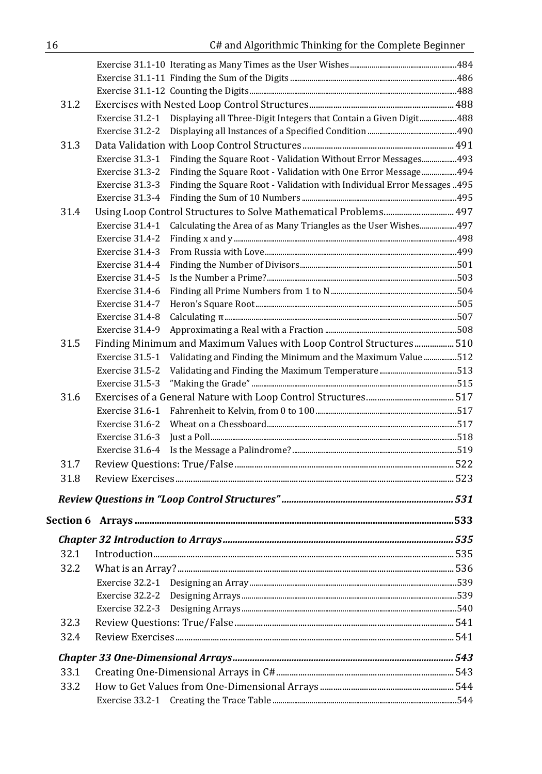| 31.2 |                                                                                             |     |
|------|---------------------------------------------------------------------------------------------|-----|
|      | Exercise 31.2-1 Displaying all Three-Digit Integers that Contain a Given Digit488           |     |
|      | Exercise 31.2-2                                                                             |     |
| 31.3 |                                                                                             |     |
|      | Finding the Square Root - Validation Without Error Messages 493<br>Exercise 31.3-1          |     |
|      | Finding the Square Root - Validation with One Error Message494<br>Exercise 31.3-2           |     |
|      | Finding the Square Root - Validation with Individual Error Messages  495<br>Exercise 31.3-3 |     |
|      | Exercise 31.3-4                                                                             |     |
| 31.4 | Using Loop Control Structures to Solve Mathematical Problems 497                            |     |
|      | Exercise 31.4-1<br>Calculating the Area of as Many Triangles as the User Wishes497          |     |
|      | Exercise 31.4-2                                                                             |     |
|      | Exercise 31.4-3                                                                             |     |
|      |                                                                                             |     |
|      | Exercise 31.4-5                                                                             |     |
|      | Exercise 31.4-6                                                                             |     |
|      | Exercise 31.4-7                                                                             |     |
|      | Exercise 31.4-8                                                                             |     |
|      | Exercise 31.4-9                                                                             |     |
| 31.5 | Finding Minimum and Maximum Values with Loop Control Structures 510                         |     |
|      | Exercise 31.5-1 Validating and Finding the Minimum and the Maximum Value512                 |     |
|      | Exercise 31.5-2                                                                             |     |
|      |                                                                                             |     |
| 31.6 |                                                                                             |     |
|      |                                                                                             |     |
|      |                                                                                             |     |
|      |                                                                                             |     |
| 31.7 |                                                                                             |     |
| 31.8 |                                                                                             |     |
|      |                                                                                             |     |
|      |                                                                                             |     |
|      |                                                                                             |     |
|      | <b>Chapter 32 Introduction to Arrays.</b>                                                   | 535 |
| 32.1 |                                                                                             |     |
| 32.2 |                                                                                             |     |
|      |                                                                                             |     |
|      |                                                                                             |     |
|      |                                                                                             |     |
| 32.3 |                                                                                             |     |
| 32.4 |                                                                                             |     |
|      |                                                                                             |     |
| 33.1 |                                                                                             |     |
| 33.2 |                                                                                             |     |
|      |                                                                                             |     |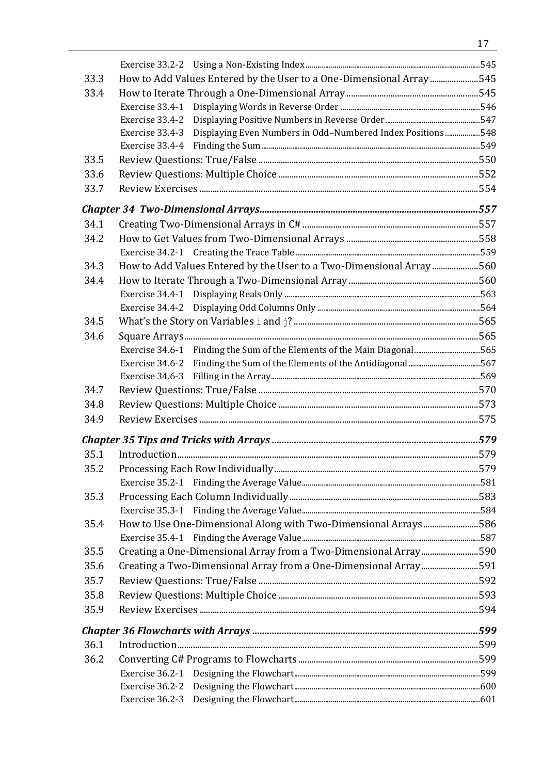| 33.3 | How to Add Values Entered by the User to a One-Dimensional Array545           |  |
|------|-------------------------------------------------------------------------------|--|
| 33.4 |                                                                               |  |
|      | Exercise 33.4-1                                                               |  |
|      | Exercise 33.4-2                                                               |  |
|      | Displaying Even Numbers in Odd-Numbered Index Positions548<br>Exercise 33.4-3 |  |
|      |                                                                               |  |
| 33.5 |                                                                               |  |
| 33.6 |                                                                               |  |
| 33.7 |                                                                               |  |
|      |                                                                               |  |
| 34.1 |                                                                               |  |
| 34.2 |                                                                               |  |
|      |                                                                               |  |
| 34.3 | How to Add Values Entered by the User to a Two-Dimensional Array560           |  |
| 34.4 |                                                                               |  |
|      | Exercise 34.4-1                                                               |  |
|      | Exercise 34.4-2                                                               |  |
| 34.5 |                                                                               |  |
| 34.6 |                                                                               |  |
|      | Exercise 34.6-1                                                               |  |
|      | Exercise 34.6-2                                                               |  |
|      | Exercise 34.6-3                                                               |  |
| 34.7 |                                                                               |  |
| 34.8 |                                                                               |  |
| 34.9 |                                                                               |  |
|      |                                                                               |  |
| 35.1 |                                                                               |  |
| 35.2 |                                                                               |  |
|      |                                                                               |  |
| 35.3 |                                                                               |  |
|      |                                                                               |  |
| 35.4 |                                                                               |  |
|      |                                                                               |  |
| 35.5 | Creating a One-Dimensional Array from a Two-Dimensional Array590              |  |
| 35.6 | Creating a Two-Dimensional Array from a One-Dimensional Array591              |  |
| 35.7 |                                                                               |  |
| 35.8 |                                                                               |  |
| 35.9 |                                                                               |  |
|      |                                                                               |  |
| 36.1 |                                                                               |  |
| 36.2 |                                                                               |  |
|      |                                                                               |  |
|      | Exercise 36.2-2                                                               |  |
|      |                                                                               |  |

17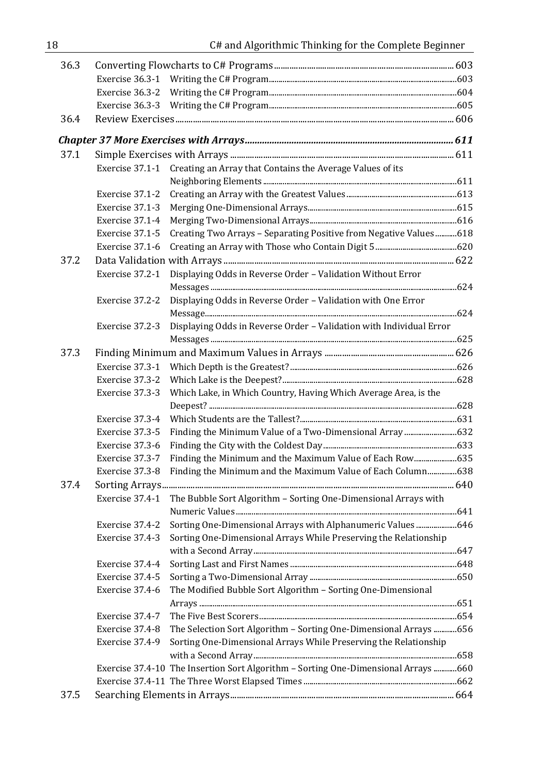| 18   |                 | C# and Algorithmic Thinking for the Complete Beginner                               |  |
|------|-----------------|-------------------------------------------------------------------------------------|--|
| 36.3 |                 |                                                                                     |  |
|      |                 |                                                                                     |  |
|      | Exercise 36.3-2 |                                                                                     |  |
|      |                 |                                                                                     |  |
| 36.4 |                 |                                                                                     |  |
|      |                 |                                                                                     |  |
| 37.1 |                 |                                                                                     |  |
|      | Exercise 37.1-1 | Creating an Array that Contains the Average Values of its                           |  |
|      |                 |                                                                                     |  |
|      | Exercise 37.1-2 |                                                                                     |  |
|      | Exercise 37.1-3 |                                                                                     |  |
|      | Exercise 37.1-4 |                                                                                     |  |
|      | Exercise 37.1-5 | Creating Two Arrays - Separating Positive from Negative Values 618                  |  |
|      | Exercise 37.1-6 |                                                                                     |  |
| 37.2 |                 |                                                                                     |  |
|      | Exercise 37.2-1 | Displaying Odds in Reverse Order - Validation Without Error                         |  |
|      |                 |                                                                                     |  |
|      | Exercise 37.2-2 | Displaying Odds in Reverse Order - Validation with One Error                        |  |
|      | Exercise 37.2-3 | Displaying Odds in Reverse Order - Validation with Individual Error                 |  |
|      |                 |                                                                                     |  |
| 37.3 |                 |                                                                                     |  |
|      | Exercise 37.3-1 |                                                                                     |  |
|      | Exercise 37.3-2 |                                                                                     |  |
|      | Exercise 37.3-3 | Which Lake, in Which Country, Having Which Average Area, is the                     |  |
|      |                 |                                                                                     |  |
|      | Exercise 37.3-4 |                                                                                     |  |
|      | Exercise 37.3-5 | Finding the Minimum Value of a Two-Dimensional Array  632                           |  |
|      | Exercise 37.3-6 |                                                                                     |  |
|      | Exercise 37.3-7 | Finding the Minimum and the Maximum Value of Each Row 635                           |  |
|      | Exercise 37.3-8 | Finding the Minimum and the Maximum Value of Each Column 638                        |  |
| 37.4 |                 |                                                                                     |  |
|      | Exercise 37.4-1 | The Bubble Sort Algorithm - Sorting One-Dimensional Arrays with                     |  |
|      | Exercise 37.4-2 | Sorting One-Dimensional Arrays with Alphanumeric Values  646                        |  |
|      | Exercise 37.4-3 | Sorting One-Dimensional Arrays While Preserving the Relationship                    |  |
|      |                 |                                                                                     |  |
|      | Exercise 37.4-4 |                                                                                     |  |
|      | Exercise 37.4-5 |                                                                                     |  |
|      | Exercise 37.4-6 | The Modified Bubble Sort Algorithm - Sorting One-Dimensional                        |  |
|      |                 |                                                                                     |  |
|      | Exercise 37.4-7 |                                                                                     |  |
|      | Exercise 37.4-8 | The Selection Sort Algorithm - Sorting One-Dimensional Arrays  656                  |  |
|      | Exercise 37.4-9 | Sorting One-Dimensional Arrays While Preserving the Relationship                    |  |
|      |                 |                                                                                     |  |
|      |                 | Exercise 37.4-10 The Insertion Sort Algorithm - Sorting One-Dimensional Arrays  660 |  |
|      |                 |                                                                                     |  |
| 37.5 |                 |                                                                                     |  |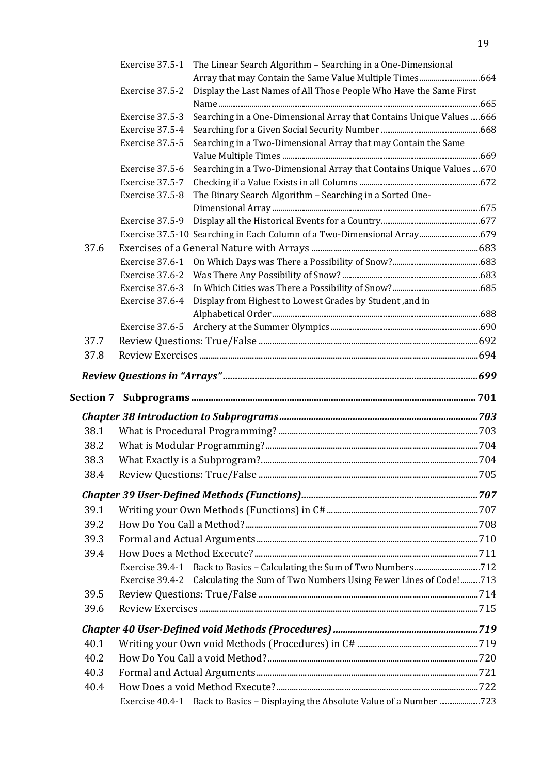|      | Exercise 37.5-1 The Linear Search Algorithm - Searching in a One-Dimensional            |  |
|------|-----------------------------------------------------------------------------------------|--|
|      | Array that may Contain the Same Value Multiple Times 664                                |  |
|      | Exercise 37.5-2<br>Display the Last Names of All Those People Who Have the Same First   |  |
|      | Searching in a One-Dimensional Array that Contains Unique Values 666<br>Exercise 37.5-3 |  |
|      | Exercise 37.5-4                                                                         |  |
|      | Exercise 37.5-5<br>Searching in a Two-Dimensional Array that may Contain the Same       |  |
|      | Searching in a Two-Dimensional Array that Contains Unique Values 670<br>Exercise 37.5-6 |  |
|      | Exercise 37.5-7                                                                         |  |
|      | The Binary Search Algorithm - Searching in a Sorted One-<br>Exercise 37.5-8             |  |
|      |                                                                                         |  |
|      | Exercise 37.5-9                                                                         |  |
|      | Exercise 37.5-10 Searching in Each Column of a Two-Dimensional Array 679                |  |
| 37.6 |                                                                                         |  |
|      |                                                                                         |  |
|      |                                                                                         |  |
|      | Exercise 37.6-3                                                                         |  |
|      | Display from Highest to Lowest Grades by Student, and in<br>Exercise 37.6-4             |  |
|      |                                                                                         |  |
|      |                                                                                         |  |
| 37.7 |                                                                                         |  |
| 37.8 |                                                                                         |  |
|      |                                                                                         |  |
|      |                                                                                         |  |
|      |                                                                                         |  |
| 38.1 |                                                                                         |  |
| 38.2 |                                                                                         |  |
| 38.3 |                                                                                         |  |
| 38.4 |                                                                                         |  |
|      |                                                                                         |  |
| 39.1 |                                                                                         |  |
| 39.2 |                                                                                         |  |
| 39.3 |                                                                                         |  |
| 39.4 |                                                                                         |  |
|      | Exercise 39.4-1                                                                         |  |
|      | Exercise 39.4-2 Calculating the Sum of Two Numbers Using Fewer Lines of Code!713        |  |
| 39.5 |                                                                                         |  |
| 39.6 |                                                                                         |  |
|      |                                                                                         |  |
| 40.1 |                                                                                         |  |
| 40.2 |                                                                                         |  |
| 40.3 |                                                                                         |  |
| 40.4 |                                                                                         |  |
|      | Exercise 40.4-1 Back to Basics - Displaying the Absolute Value of a Number 723          |  |